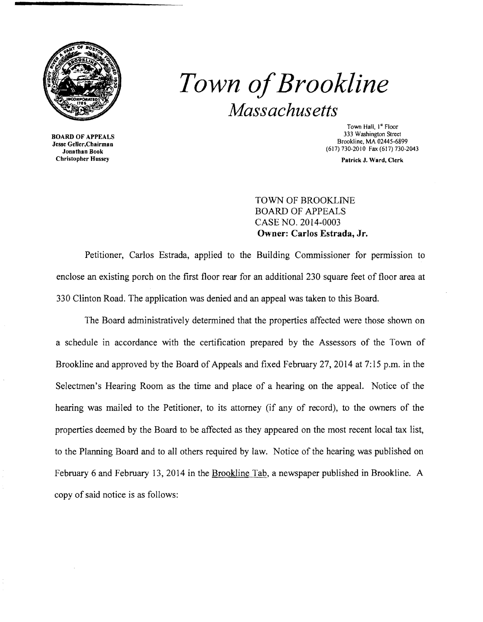

*Town ofBrookline Massachusetts* 

BOARD OF APPEALS Jesse Geller,Chairman Jonathan Book Christopher Hussey

Town Hall, 1<sup>ª</sup> Floor 333 Washington Street Brookline, MA 02445·6899 (617) 730·2010 Fax (617) 730-2043

Patrick J. Ward, Clerk

TOWN OF BROOKLINE BOARD OF APPEALS CASE NO. 2014-0003 Owner: Carlos Estrada, Jr.

Petitioner, Carlos Estrada, applied to the Building Commissioner for pennission to enclose an existing porch on the first floor rear for an additional 230 square feet of floor area at 330 Clinton Road. The application was denied and an appeal was taken to this Board.

The Board administratively determined that the properties affected were those shown on a schedule in accordance with the certification prepared by the Assessors of the Town of Brookline and approved by the Board of Appeals and fixed February 27,2014 at 7: 15 p.m. in the Selectmen's Hearing Room as the time and place of a hearing on the appeal. Notice of the hearing was mailed to the Petitioner, to its attorney (if any of record), to the owners of the properties deemed by the Board to be affected as they appeared on the most recent local tax list, to the Planning Board and to all others required by law. Notice of the hearing was published on February 6 and February 13, 2014 in the Brookline Tab, a newspaper published in Brookline. A copy of said notice is as follows: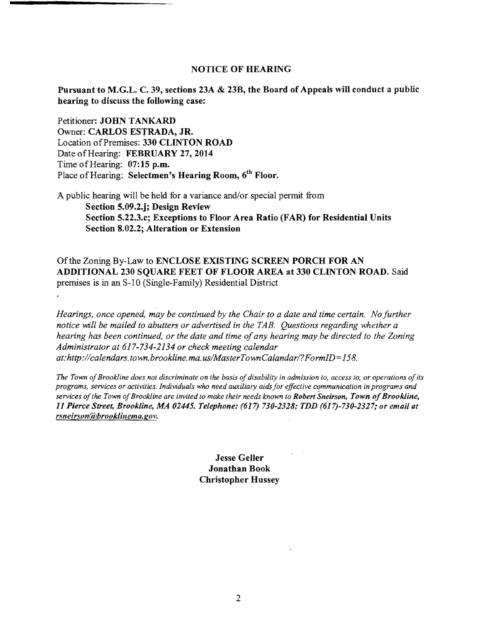## NOTICE OF HEARING

Pursuant to M.G.L. C. 39, sections 23A & 23B, the Board of Appeals will conduct a public hearing to discuss the following case:

Petitioner: JOHN TANKARD Owner: CARLOS ESTRADA, JR. Location of Premises: 330 CLINTON ROAD Date of Hearing: FEBRUARY 27, 2014 Time of Hearing: 07:15 p.m. Place of Hearing: Selectmen's Hearing Room, 6<sup>th</sup> Floor.

A public hearing will be held for a variance and/or special permit from Section 5.09.2.j; Design Review Section 5.22.3.c; Exceptions to Floor Area Ratio (FAR) for Residential Units Section 8.02.2; Alteration or Extension

Ofthe Zoning By-Law to ENCLOSE EXISTING SCREEN PORCH FOR AN ADDITIONAL 230 SQUARE FEET OF FLOOR AREA at 330 CLINTON ROAD. Said premises is in an S-10 (Single-Family) Residential District

*Hearings, once opened, may be continued by the Chair to a date and time certain. No further notice will be mailed to abutters or advertised in the TAB. Questions regarding whether a hearing has been continued, or the date and time ofany hearing may be directed to the Zoning Administrator at* 617-734-2134 *or check meeting calendar*  at: http://calendars.town.brookline.ma.us/MasterTownCalandar/? FormID=158.

The Town of Brookline does not discriminate on the basis of disability in admission to, access to, or operations of its *programs, services or activities. Individuals who need auxiliary aids for effective cQmmunication in programs and services ofthe Town ofBrookline are invited to make their needs known to Robert Sneirson, Town ofBrookline, 11 Pierce Street, Brookline, MA 02445. Telephone:* (617) *730-2328; TDD (617)-730-2327; or email at*   $r$ *sneirson@brooklinema.gov.* 

> **Jesse Geller** Jonathan Book Christopher Hussey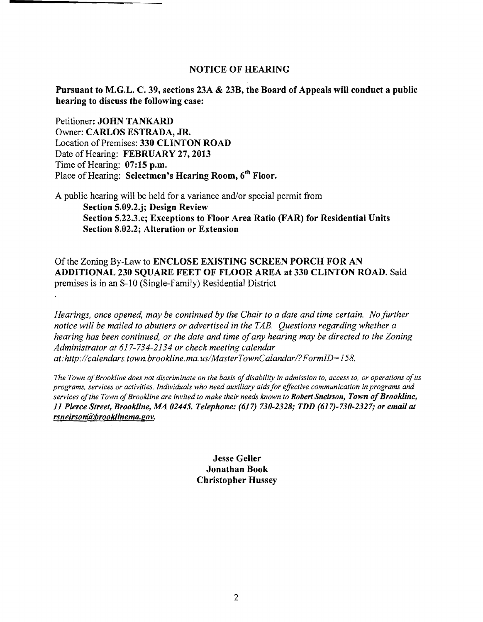## NOTICE OF HEARING

Pursuant to M.G.L. C. 39, sections 23A & 23B, the Board of Appeals will conduct a public hearing to discuss the following case:

Petitioner: JOHN TANKARD Owner: CARLOS ESTRADA, JR. Location of Premises: 330 CLINTON ROAD Date of Hearing: FEBRUARY 27, 2013 Time of Hearing:  $07:15$  p.m. Place of Hearing: Selectmen's Hearing Room, 6<sup>th</sup> Floor.

A public hearing will be held for a variance and/or special permit from Section 5.09.2.j; Design Review Section 5.22.3.c; Exceptions to Floor Area Ratio (FAR) for Residential Units Section 8.02.2; Alteration or Extension

Of the Zoning By~Law to ENCLOSE EXISTING SCREEN PORCH FOR AN ADDITIONAL 230 SQUARE FEET OF FLOOR AREA at 330 CLINTON ROAD. Said premises is in an S-lO (Single-Family) Residential District

*Hearings, once opened, may be continued by the Chair to a date and time certain. No further notice will be mailed to abutters or advertised in the TAB. Questions regarding whether a hearing has been continued, or the date and time ofany hearing may be directed to the Zoning Administrator at* 617-734-2134 *or check meeting calendar at: http://calendars.town.brookline. rna. uslMaster Town Calandarl? FormID= 158.* 

The Town of Brookline does not discriminate on the basis of disability in admission to, access to, or operations of its *programs, services or activities. Individuals who need auxiliary aids for effective communication in programs and services ofthe Town ofBrookline are invited to make their needs known to Robert Sneirson, Town ofBrookline, 11 Pierce Street, Brookline, MA 02445. Telephone:* (617) *730-2328; TDD (617)-730-2327; or email at rsneirson@brooklinema.gov.* 

> Jesse Geller Jonathan Book Christopher Hussey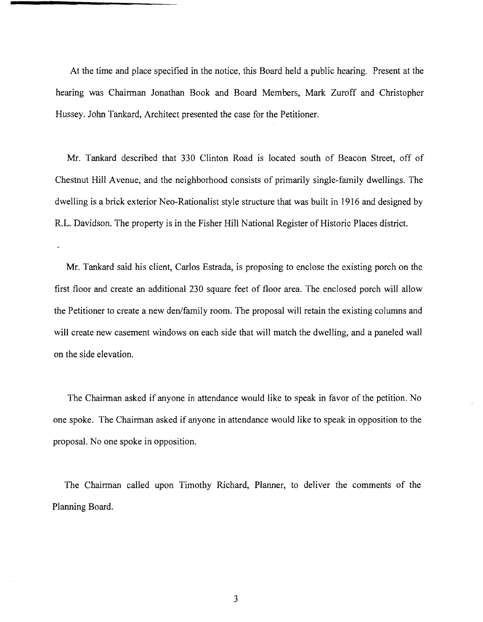At the time and place specified in the notice, this Board held a public hearing. Present at the hearing was Chairman Jonathan Book and Board Members, Mark Zuroff and Christopher Hussey. John Tankard, Architect presented the case for the Petitioner.

Mr. Tankard described that 330 Clinton Road is located south of Beacon Street, off of Chestnut Hill Avenue, and the neighborhood consists of primarily single-family dwellings. The dwelling is a brick exterior Neo-Rationalist style structure that was built in 1916 and designed by R.L. Davidson. The property is in the Fisher Hill National Register of Historic Places district.

Mr. Tankard said his client, Carlos Estrada, is proposing to enclose the existing porch on the first floor and create an additional 230 square feet of floor area. The enclosed porch will allow the Petitioner to create a new den/family room. The proposal will retain the existing columns and will create new casement windows on each side that will match the dwelling, and a paneled wall on the side elevation.

The Chairman asked if anyone in attendance would like to speak in favor of the petition. No one spoke. The Chairman asked if anyone in attendance would like to speak in opposition to the proposal. No one spoke in opposition.

The Chairman called upon Timothy Richard, Planner, to deliver the comments of the Planning Board.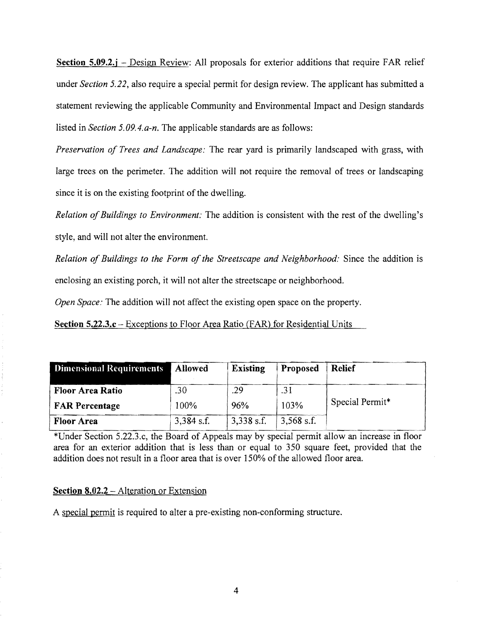**Section 5.09.2.j** – Design Review: All proposals for exterior additions that require FAR relief under *Section* 5.22, also require a special permit for design review. The applicant has submitted a statement reviewing the applicable Community and Environmental Impact and Design standards listed in *Section 5.09.4.a-n.* The applicable standards are as follows:

*Preservation of Trees and Landscape:* The rear yard is primarily landscaped with grass, with large trees on the perimeter. The addition will not require the removal of trees or landscaping since it is on the existing footprint of the dwelling.

*Relation of Buildings to Environment:* The addition is consistent with the rest of the dwelling's style, and will not alter the environment.

*Relation of Buildings to the Form of the Streetscape and Neighborhood: Since the addition is* enclosing an existing porch, it will not alter the streetscape or neighborhood.

*Open Space:* The addition will not affect the existing open space on the property.

**Section 5.22.3.c** - Exceptions to Floor Area Ratio (FAR) for Residential Units

| <b>Dimensional Requirements</b> | <b>Allowed</b> | <b>Existing</b> | Proposed     | Relief          |
|---------------------------------|----------------|-----------------|--------------|-----------------|
| Floor Area Ratio                | .30            | .29             | .31          |                 |
| <b>FAR Percentage</b>           | 100%           | 96%             | 103%         | Special Permit* |
| <b>Floor Area</b>               | $3,384$ s.f.   | $3,338$ s.f.    | $3,568$ s.f. |                 |

\*Under Section 5.22.3.c, the Board of Appeals may by special permit allow an increase in floor area for an exterior addition that is less than or equal to 350 square feet, provided that the addition does not result in a floor area that is over 150% of the allowed floor area.

## **Section 8.02.2** - Alteration or Extension

A special permit is required to alter a pre-existing non-conforming structure.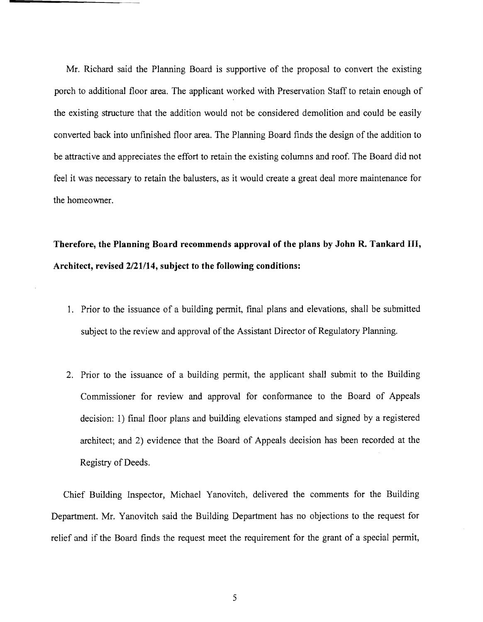Mr. Richard said the Planning Board is supportive of the proposal to convert the existing porch to additional floor area. The applicant worked with Preservation Staff to retain enough of the existing structure that the addition would not be considered demolition and could be easily converted back into unfinished floor area. The Planning Board finds the design of the addition to be attractive and appreciates the effort to retain the existing columns and roof. The Board did not feel it was necessary to retain the balusters, as it would create a great deal more maintenance for the homeowner.

**Therefore, the Planning Board recommends approval of the plans by John R. Tankard III, Architect, revised 2/21114, subject to the following conditions:** 

- 1. Prior to the issuance of a building permit, final plans and elevations, shall be submitted subject to the review and approval of the Assistant Director of Regulatory Planning.
- 2. Prior to the issuance of a building permit, the applicant shall submit to the Building Commissioner for review and approval for confonnance to the Board of Appeals decision: 1) final floor plans and building elevations stamped and signed by a registered architect; and 2) evidence that the Board of Appeals decision has been recorded at the Registry of Deeds.

Chief Building Inspector, Michael Yanovitch, delivered the comments for the Building Department. Mr. Yanovitch said the Building Department has no objections to the request for relief and if the Board finds the request meet the requirement for the grant of a special permit,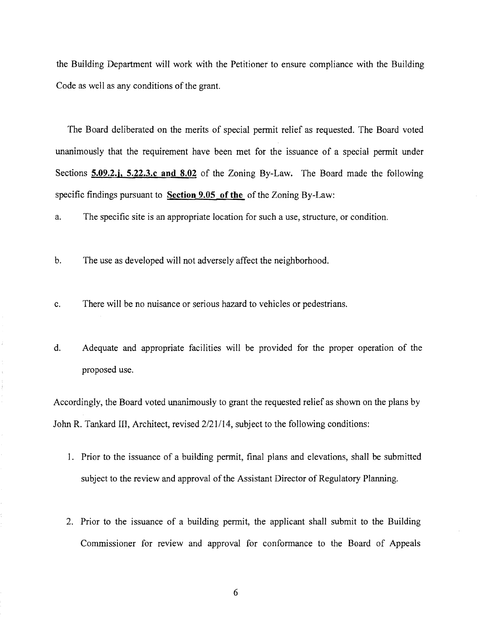the Building Department will work with the Petitioner to ensure compliance with the Building Code as well as any conditions of the grant.

The Board deliberated on the merits of special permit relief as requested. The Board voted unanimously that the requirement have been met for the issuance of a special permit under Sections **5.09.2.j, 5.22.3.c and 8.02** of the Zoning By-Law. The Board made the following specific findings pursuant to **Section 9.05 of the** of the Zoning By-Law:

a. The specific site is an appropriate location for such a use, structure, or condition.

b. The use as developed will not adversely affect the neighborhood.

c. There will be no nuisance or serious hazard to vehicles or pedestrians.

d. Adequate and appropriate facilities will be provided for the proper operation of the proposed use.

Accordingly, the Board voted unanimously to grant the requested relief as shown on the plans by John R. Tankard III, Architect, revised 2/21114, subject to the following conditions:

- 1. Prior to the issuance of a building permit, final plans and elevations, shall be submitted subject to the review and approval of the Assistant Director of Regulatory Planning.
- 2. Prior to the issuance of a building permit, the applicant shall submit to the Building Commissioner for review and approval for conformance to the Board of Appeals